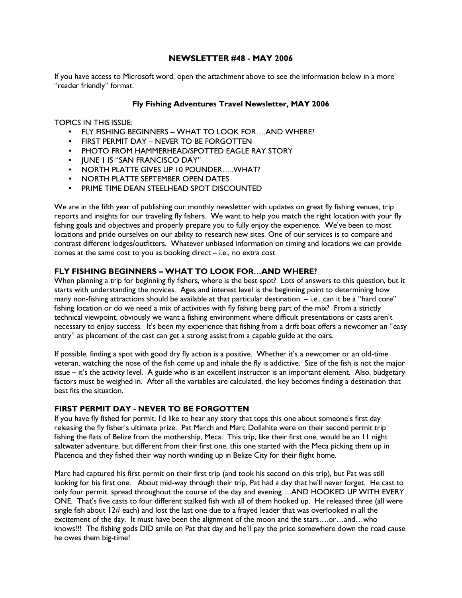## NEWSLETTER #48 - MAY 2006

If you have access to Microsoft word, open the attachment above to see the information below in a more "reader friendly" format.

## Fly Fishing Adventures Travel Newsletter, MAY 2006

TOPICS IN THIS ISSUE:

- FLY FISHING BEGINNERS WHAT TO LOOK FOR….AND WHERE?
- FIRST PERMIT DAY NEVER TO BE FORGOTTEN
- PHOTO FROM HAMMERHEAD/SPOTTED EAGLE RAY STORY
- JUNE 1 IS "SAN FRANCISCO DAY"
- NORTH PLATTE GIVES UP 10 POUNDER…..WHAT?
- NORTH PLATTE SEPTEMBER OPEN DATES
- PRIME TIME DEAN STEELHEAD SPOT DISCOUNTED

We are in the fifth year of publishing our monthly newsletter with updates on great fly fishing venues, trip reports and insights for our traveling fly fishers. We want to help you match the right location with your fly fishing goals and objectives and properly prepare you to fully enjoy the experience. We've been to most locations and pride ourselves on our ability to research new sites. One of our services is to compare and contrast different lodges/outfitters. Whatever unbiased information on timing and locations we can provide comes at the same cost to you as booking direct – i.e., no extra cost.

## FLY FISHING BEGINNERS – WHAT TO LOOK FOR…AND WHERE?

When planning a trip for beginning fly fishers, where is the best spot? Lots of answers to this question, but it starts with understanding the novices. Ages and interest level is the beginning point to determining how many non-fishing attractions should be available at that particular destination. – i.e., can it be a "hard core" fishing location or do we need a mix of activities with fly fishing being part of the mix? From a strictly technical viewpoint, obviously we want a fishing environment where difficult presentations or casts aren't necessary to enjoy success. It's been my experience that fishing from a drift boat offers a newcomer an "easy entry" as placement of the cast can get a strong assist from a capable guide at the oars.

If possible, finding a spot with good dry fly action is a positive. Whether it's a newcomer or an old-time veteran, watching the nose of the fish come up and inhale the fly is addictive. Size of the fish is not the major issue – it's the activity level. A guide who is an excellent instructor is an important element. Also, budgetary factors must be weighed in. After all the variables are calculated, the key becomes finding a destination that best fits the situation.

### FIRST PERMIT DAY - NEVER TO BE FORGOTTEN

If you have fly fished for permit, I'd like to hear any story that tops this one about someone's first day releasing the fly fisher's ultimate prize. Pat March and Marc Dollahite were on their second permit trip fishing the flats of Belize from the mothership, Meca. This trip, like their first one, would be an 11 night saltwater adventure, but different from their first one, this one started with the Meca picking them up in Placencia and they fished their way north winding up in Belize City for their flight home.

Marc had captured his first permit on their first trip (and took his second on this trip), but Pat was still looking for his first one. About mid-way through their trip, Pat had a day that he'll never forget. He cast to only four permit, spread throughout the course of the day and evening….AND HOOKED UP WITH EVERY ONE. That's five casts to four different stalked fish with all of them hooked up. He released three (all were single fish about 12# each) and lost the last one due to a frayed leader that was overlooked in all the excitement of the day. It must have been the alignment of the moon and the stars….or…and…who knows!!! The fishing gods DID smile on Pat that day and he'll pay the price somewhere down the road cause he owes them big-time!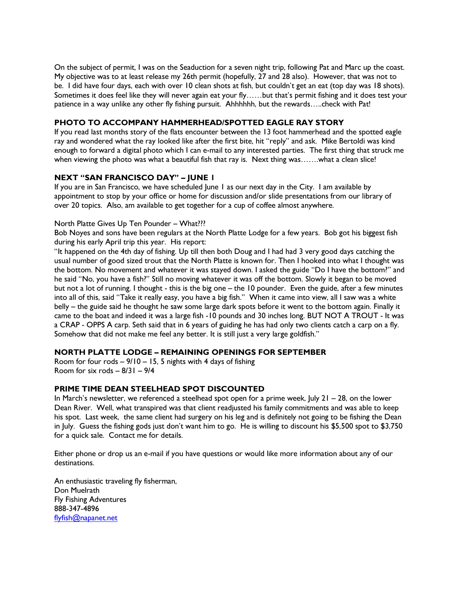On the subject of permit, I was on the Seaduction for a seven night trip, following Pat and Marc up the coast. My objective was to at least release my 26th permit (hopefully, 27 and 28 also). However, that was not to be. I did have four days, each with over 10 clean shots at fish, but couldn't get an eat (top day was 18 shots). Sometimes it does feel like they will never again eat your fly……but that's permit fishing and it does test your patience in a way unlike any other fly fishing pursuit. Ahhhhhh, but the rewards…..check with Pat!

# PHOTO TO ACCOMPANY HAMMERHEAD/SPOTTED EAGLE RAY STORY

If you read last months story of the flats encounter between the 13 foot hammerhead and the spotted eagle ray and wondered what the ray looked like after the first bite, hit "reply" and ask. Mike Bertoldi was kind enough to forward a digital photo which I can e-mail to any interested parties. The first thing that struck me when viewing the photo was what a beautiful fish that ray is. Next thing was......what a clean slice!

## NEXT "SAN FRANCISCO DAY" – JUNE 1

If you are in San Francisco, we have scheduled June 1 as our next day in the City. I am available by appointment to stop by your office or home for discussion and/or slide presentations from our library of over 20 topics. Also, am available to get together for a cup of coffee almost anywhere.

## North Platte Gives Up Ten Pounder – What???

Bob Noyes and sons have been regulars at the North Platte Lodge for a few years. Bob got his biggest fish during his early April trip this year. His report:

"It happened on the 4th day of fishing. Up till then both Doug and I had had 3 very good days catching the usual number of good sized trout that the North Platte is known for. Then I hooked into what I thought was the bottom. No movement and whatever it was stayed down. I asked the guide "Do I have the bottom?" and he said "No, you have a fish?" Still no moving whatever it was off the bottom. Slowly it began to be moved but not a lot of running. I thought - this is the big one – the 10 pounder. Even the guide, after a few minutes into all of this, said "Take it really easy, you have a big fish." When it came into view, all I saw was a white belly – the guide said he thought he saw some large dark spots before it went to the bottom again. Finally it came to the boat and indeed it was a large fish -10 pounds and 30 inches long. BUT NOT A TROUT - It was a CRAP - OPPS A carp. Seth said that in 6 years of guiding he has had only two clients catch a carp on a fly. Somehow that did not make me feel any better. It is still just a very large goldfish."

### NORTH PLATTE LODGE – REMAINING OPENINGS FOR SEPTEMBER

Room for four rods  $-9/10 - 15$ , 5 nights with 4 days of fishing Room for six rods – 8/31 – 9/4

### PRIME TIME DEAN STEELHEAD SPOT DISCOUNTED

In March's newsletter, we referenced a steelhead spot open for a prime week, July 21 – 28, on the lower Dean River. Well, what transpired was that client readjusted his family commitments and was able to keep his spot. Last week, the same client had surgery on his leg and is definitely not going to be fishing the Dean in July. Guess the fishing gods just don't want him to go. He is willing to discount his \$5,500 spot to \$3,750 for a quick sale. Contact me for details.

Either phone or drop us an e-mail if you have questions or would like more information about any of our destinations.

An enthusiastic traveling fly fisherman, Don Muelrath Fly Fishing Adventures 888-347-4896 flyfish@napanet.net